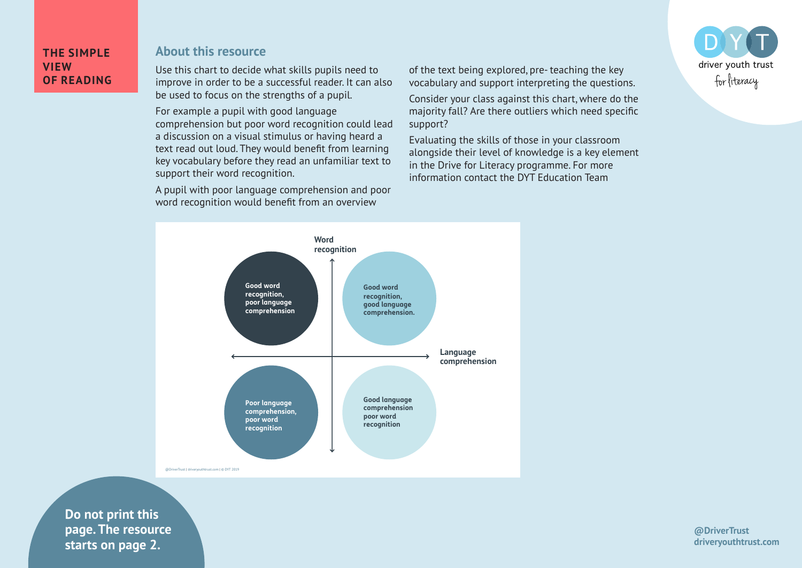## **THE SIMPLE VIEW OF READING**

## **About this resource**

Use this chart to decide what skills pupils need to improve in order to be a successful reader. It can also be used to focus on the strengths of a pupil.

For example a pupil with good language comprehension but poor word recognition could lead a discussion on a visual stimulus or having heard a text read out loud. They would benefit from learning key vocabulary before they read an unfamiliar text to support their word recognition.

A pupil with poor language comprehension and poor word recognition would benefit from an overview

of the text being explored, pre- teaching the key vocabulary and support interpreting the questions.

Consider your class against this chart, where do the majority fall? Are there outliers which need specific support?

Evaluating the skills of those in your classroom alongside their level of knowledge is a key element in the Drive for Literacy programme. For more information contact the DYT Education Team





**Do not print this page. The resource starts on page 2.**